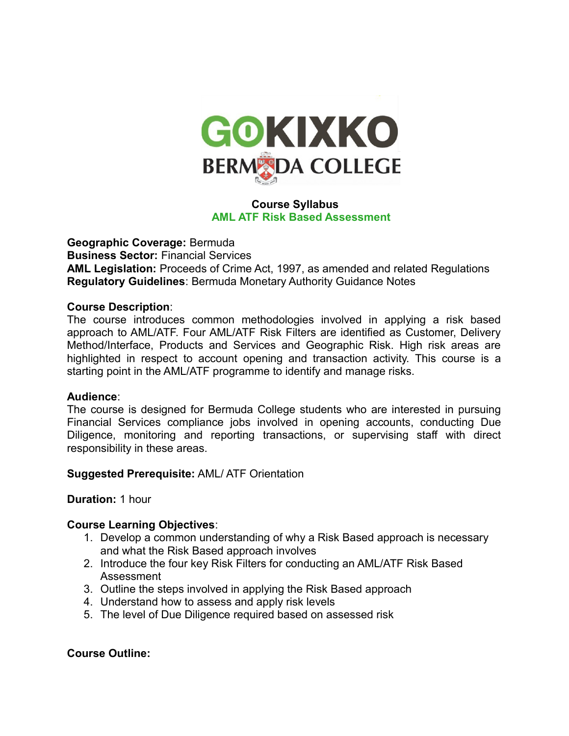

# **Course Syllabus AML ATF Risk Based Assessment**

**Geographic Coverage:** Bermuda **Business Sector:** Financial Services **AML Legislation:** Proceeds of Crime Act, 1997, as amended and related Regulations **Regulatory Guidelines**: Bermuda Monetary Authority Guidance Notes

#### **Course Description**:

The course introduces common methodologies involved in applying a risk based approach to AML/ATF. Four AML/ATF Risk Filters are identified as Customer, Delivery Method/Interface, Products and Services and Geographic Risk. High risk areas are highlighted in respect to account opening and transaction activity. This course is a starting point in the AML/ATF programme to identify and manage risks.

#### **Audience**:

The course is designed for Bermuda College students who are interested in pursuing Financial Services compliance jobs involved in opening accounts, conducting Due Diligence, monitoring and reporting transactions, or supervising staff with direct responsibility in these areas.

**Suggested Prerequisite:** AML/ ATF Orientation

#### **Duration:** 1 hour

## **Course Learning Objectives**:

- 1. Develop a common understanding of why a Risk Based approach is necessary and what the Risk Based approach involves
- 2. Introduce the four key Risk Filters for conducting an AML/ATF Risk Based Assessment
- 3. Outline the steps involved in applying the Risk Based approach
- 4. Understand how to assess and apply risk levels
- 5. The level of Due Diligence required based on assessed risk

## **Course Outline:**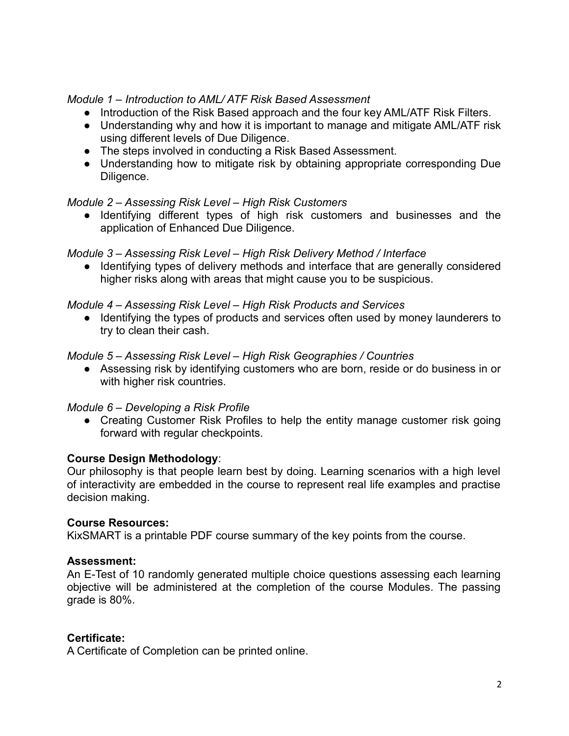*Module 1 – Introduction to AML/ ATF Risk Based Assessment*

- Introduction of the Risk Based approach and the four key AML/ATF Risk Filters.
- Understanding why and how it is important to manage and mitigate AML/ATF risk using different levels of Due Diligence.
- The steps involved in conducting a Risk Based Assessment.
- Understanding how to mitigate risk by obtaining appropriate corresponding Due Diligence.

# *Module 2 – Assessing Risk Level – High Risk Customers*

● Identifying different types of high risk customers and businesses and the application of Enhanced Due Diligence.

# *Module 3 – Assessing Risk Level – High Risk Delivery Method / Interface*

● Identifying types of delivery methods and interface that are generally considered higher risks along with areas that might cause you to be suspicious.

## *Module 4 – Assessing Risk Level – High Risk Products and Services*

● Identifying the types of products and services often used by money launderers to try to clean their cash.

# *Module 5 – Assessing Risk Level – High Risk Geographies / Countries*

● Assessing risk by identifying customers who are born, reside or do business in or with higher risk countries.

## *Module 6 – Developing a Risk Profile*

• Creating Customer Risk Profiles to help the entity manage customer risk going forward with regular checkpoints.

## **Course Design Methodology**:

Our philosophy is that people learn best by doing. Learning scenarios with a high level of interactivity are embedded in the course to represent real life examples and practise decision making.

## **Course Resources:**

KixSMART is a printable PDF course summary of the key points from the course.

## **Assessment:**

An E-Test of 10 randomly generated multiple choice questions assessing each learning objective will be administered at the completion of the course Modules. The passing grade is 80%.

# **Certificate:**

A Certificate of Completion can be printed online.